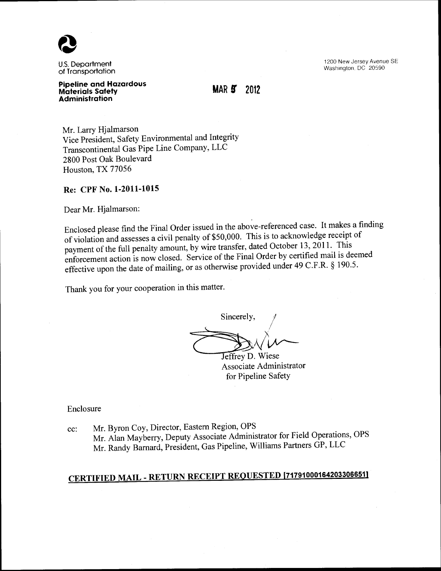

U.S. Department of Transportation 1200 New Jersey Avenue SE Washington, DC 20590

#### **Pipeline and Hazardous Materials Safety Administration**

**MAR 5 2012** 

Mr. Larry Hjalmarson Vice President, Safety Environmental and Integrity Transcontinental Gas Pipe Line Company, LLC 2800 Post Oak Boulevard Houston, TX 77056

## **Re: CPF** No. **1-2011-1015**

Dear Mr. Hjalmarson:

Enclosed please find the Final Order issued in the above-referenced case. It makes a finding of violation and assesses a civil penalty of \$50,000. This is to acknowledge receipt of payment of the full penalty amount, by wire transfer, dated October 13, 2011. This enforcement action is now closed. Service of the Final Order by certified mail is deemed effective upon the date of mailing, or as otherwise provided under 49 C.F.R. § 190.5.

Thank you for your cooperation in this matter.

Sincerely, Jeffrey D. Wiese

Associate Administrator for Pipeline Safety

Enclosure

cc: Mr. Byron Coy, Director, Eastern Region, OPS Mr. Alan Mayberry, Deputy Associate Administrator for Field Operations, OPS Mr. Randy Barnard, President, Gas Pipeline, Williams Partners GP, LLC

# **CERTIFIED MAIL- RETURN RECEIPT REQUESTED [717910001642033066511**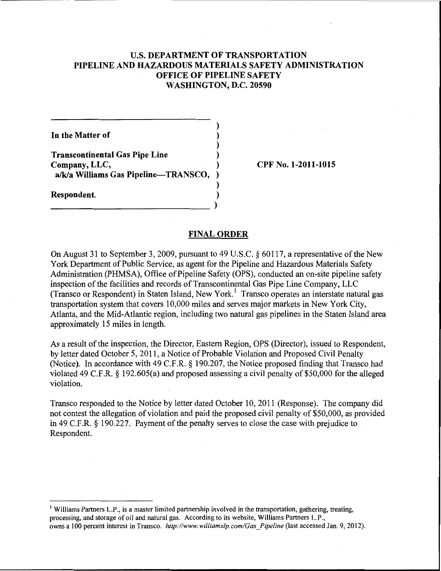# U.S. DEPARTMENT OF TRANSPORTATION PIPELINE AND HAZARDOUS MATERIALS SAFETY ADMINISTRATION OFFICE OF PIPELINE SAFETY WASHINGTON, D.C. 20590

)

)

)

In the Matter of )

Transcontinental Gas Pipe Line ) Company, LLC, ) a/k/a Williams Gas Pipeline-TRANSCO,

Respondent. ) --------------) CPF No. 1-2011-1015

### FINAL ORDER

On August 31 to September 3, 2009, pursuant to 49 U.S.C. § 60117, a representative of the New York Department of Public Service, as agent for the Pipeline and Hazardous Materials Safety Administration (PHMSA), Office of Pipeline Safety (OPS), conducted an on-site pipeline safety inspection of the facilities and records of Transcontinental Gas Pipe Line Company, LLC (Transco or Respondent) in Staten Island, New York.<sup>1</sup> Transco operates an interstate natural gas transportation system that covers 10,000 miles and serves major markets in New York City, Atlanta, and the Mid-Atlantic region, including two natural gas pipelines in the Staten Island area approximately 15 miles in length.

As a result of the inspection, the Director, Eastern Region, OPS (Director), issued to Respondent, by letter dated October 5, 2011, a Notice of Probable Violation and Proposed Civil Penalty (Notice). In accordance with 49 C.F.R. § 190.207, the Notice proposed finding that Transco had violated 49 C.F.R. § 192.605(a) and proposed assessing a civil penalty of \$50,000 for the alleged violation.

Transco responded to the Notice by letter dated October 10, 2011 (Response). The company did not contest the allegation of violation and paid the proposed civil penalty of \$50,000, as provided in 49 C.F.R. § 190.227. Payment of the penalty serves to close the case with prejudice to Respondent.

<sup>&</sup>lt;sup>1</sup> Williams Partners L.P., is a master limited partnership involved in the transportation, gathering, treating, processing, and storage of oil and natural gas. According to its website, Williams Partners L.P., owns a 100 percent interest in Transco. *http://www.williamslp.com/Gas\_Pipeline* (last accessed Jan. 9, 2012).